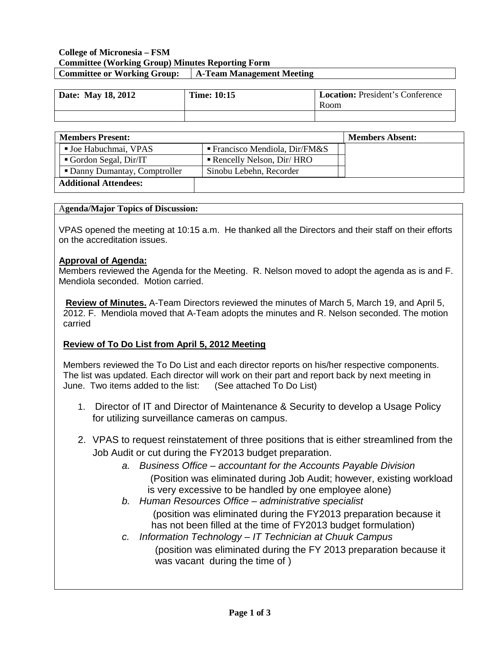## **College of Micronesia – FSM Committee (Working Group) Minutes Reporting Form Committee or Working Group: A-Team Management Meeting**

| Date: May 18, 2012 | <b>Time: 10:15</b> | <b>Location:</b> President's Conference<br>Room |
|--------------------|--------------------|-------------------------------------------------|
|                    |                    |                                                 |

| <b>Members Present:</b>       |                                         | <b>Members Absent:</b> |
|-------------------------------|-----------------------------------------|------------------------|
| <b>Joe Habuchmai, VPAS</b>    | <b>Francisco Mendiola, Dir/FM&amp;S</b> |                        |
| Gordon Segal, Dir/IT          | Rencelly Nelson, Dir/ HRO               |                        |
| • Danny Dumantay, Comptroller | Sinobu Lebehn, Recorder                 |                        |
| <b>Additional Attendees:</b>  |                                         |                        |

#### A**genda/Major Topics of Discussion:**

VPAS opened the meeting at 10:15 a.m. He thanked all the Directors and their staff on their efforts on the accreditation issues.

## **Approval of Agenda:**

Members reviewed the Agenda for the Meeting. R. Nelson moved to adopt the agenda as is and F. Mendiola seconded. Motion carried.

**Review of Minutes.** A-Team Directors reviewed the minutes of March 5, March 19, and April 5, 2012. F. Mendiola moved that A-Team adopts the minutes and R. Nelson seconded. The motion carried

## **Review of To Do List from April 5, 2012 Meeting**

Members reviewed the To Do List and each director reports on his/her respective components. The list was updated. Each director will work on their part and report back by next meeting in June. Two items added to the list: (See attached To Do List)

- 1. Director of IT and Director of Maintenance & Security to develop a Usage Policy for utilizing surveillance cameras on campus.
- 2. VPAS to request reinstatement of three positions that is either streamlined from the Job Audit or cut during the FY2013 budget preparation.
	- *a. Business Office – accountant for the Accounts Payable Division*  (Position was eliminated during Job Audit; however, existing workload is very excessive to be handled by one employee alone)
	- *b. Human Resources Office – administrative specialist*

 (position was eliminated during the FY2013 preparation because it has not been filled at the time of FY2013 budget formulation)

*c. Information Technology – IT Technician at Chuuk Campus*

(position was eliminated during the FY 2013 preparation because it was vacant during the time of )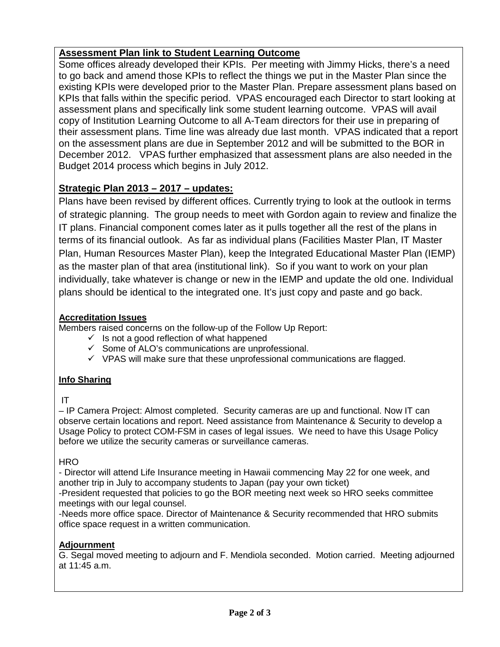# **Assessment Plan link to Student Learning Outcome**

Some offices already developed their KPIs. Per meeting with Jimmy Hicks, there's a need to go back and amend those KPIs to reflect the things we put in the Master Plan since the existing KPIs were developed prior to the Master Plan. Prepare assessment plans based on KPIs that falls within the specific period. VPAS encouraged each Director to start looking at assessment plans and specifically link some student learning outcome. VPAS will avail copy of Institution Learning Outcome to all A-Team directors for their use in preparing of their assessment plans. Time line was already due last month. VPAS indicated that a report on the assessment plans are due in September 2012 and will be submitted to the BOR in December 2012. VPAS further emphasized that assessment plans are also needed in the Budget 2014 process which begins in July 2012.

# **Strategic Plan 2013 – 2017 – updates:**

Plans have been revised by different offices. Currently trying to look at the outlook in terms of strategic planning. The group needs to meet with Gordon again to review and finalize the IT plans. Financial component comes later as it pulls together all the rest of the plans in terms of its financial outlook. As far as individual plans (Facilities Master Plan, IT Master Plan, Human Resources Master Plan), keep the Integrated Educational Master Plan (IEMP) as the master plan of that area (institutional link). So if you want to work on your plan individually, take whatever is change or new in the IEMP and update the old one. Individual plans should be identical to the integrated one. It's just copy and paste and go back.

## **Accreditation Issues**

Members raised concerns on the follow-up of the Follow Up Report:

- $\checkmark$  Is not a good reflection of what happened
- $\checkmark$  Some of ALO's communications are unprofessional.
- $\checkmark$  VPAS will make sure that these unprofessional communications are flagged.

## **Info Sharing**

## IT

– IP Camera Project: Almost completed. Security cameras are up and functional. Now IT can observe certain locations and report. Need assistance from Maintenance & Security to develop a Usage Policy to protect COM-FSM in cases of legal issues. We need to have this Usage Policy before we utilize the security cameras or surveillance cameras.

**HRO** 

- Director will attend Life Insurance meeting in Hawaii commencing May 22 for one week, and another trip in July to accompany students to Japan (pay your own ticket)

-President requested that policies to go the BOR meeting next week so HRO seeks committee meetings with our legal counsel.

-Needs more office space. Director of Maintenance & Security recommended that HRO submits office space request in a written communication.

## **Adjournment**

G. Segal moved meeting to adjourn and F. Mendiola seconded. Motion carried. Meeting adjourned at 11:45 a.m.